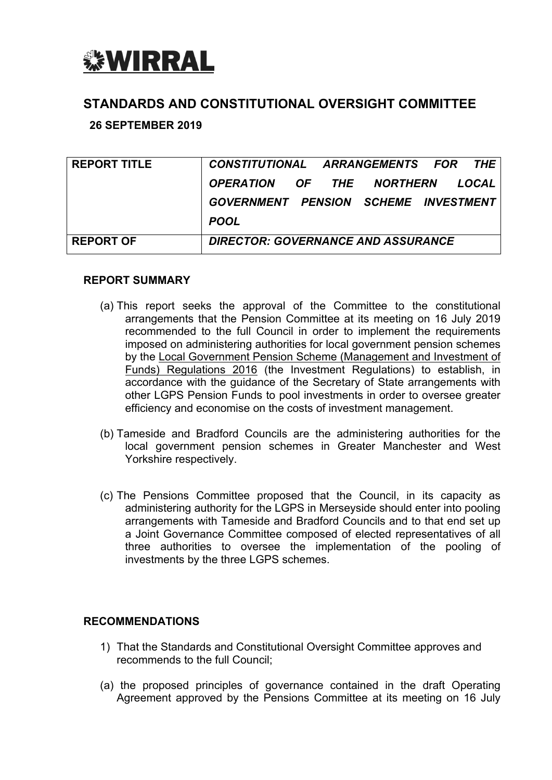

# **STANDARDS AND CONSTITUTIONAL OVERSIGHT COMMITTEE**

# **26 SEPTEMBER 2019**

| <b>REPORT TITLE</b> | CONSTITUTIONAL ARRANGEMENTS FOR THE       |  |  |  |  |       |  |
|---------------------|-------------------------------------------|--|--|--|--|-------|--|
|                     | OPERATION OF THE NORTHERN                 |  |  |  |  | LOCAL |  |
|                     | GOVERNMENT PENSION SCHEME INVESTMENT      |  |  |  |  |       |  |
|                     | <b>POOL</b>                               |  |  |  |  |       |  |
| <b>REPORT OF</b>    | <b>DIRECTOR: GOVERNANCE AND ASSURANCE</b> |  |  |  |  |       |  |

#### **REPORT SUMMARY**

- (a) This report seeks the approval of the Committee to the constitutional arrangements that the Pension Committee at its meeting on 16 July 2019 recommended to the full Council in order to implement the requirements imposed on administering authorities for local government pension schemes by the Local Government Pension Scheme (Management and Investment of Funds) Regulations 2016 (the Investment Regulations) to establish, in accordance with the guidance of the Secretary of State arrangements with other LGPS Pension Funds to pool investments in order to oversee greater efficiency and economise on the costs of investment management.
- (b) Tameside and Bradford Councils are the administering authorities for the local government pension schemes in Greater Manchester and West Yorkshire respectively.
- (c) The Pensions Committee proposed that the Council, in its capacity as administering authority for the LGPS in Merseyside should enter into pooling arrangements with Tameside and Bradford Councils and to that end set up a Joint Governance Committee composed of elected representatives of all three authorities to oversee the implementation of the pooling of investments by the three LGPS schemes.

# **RECOMMENDATIONS**

- 1) That the Standards and Constitutional Oversight Committee approves and recommends to the full Council;
- (a) the proposed principles of governance contained in the draft Operating Agreement approved by the Pensions Committee at its meeting on 16 July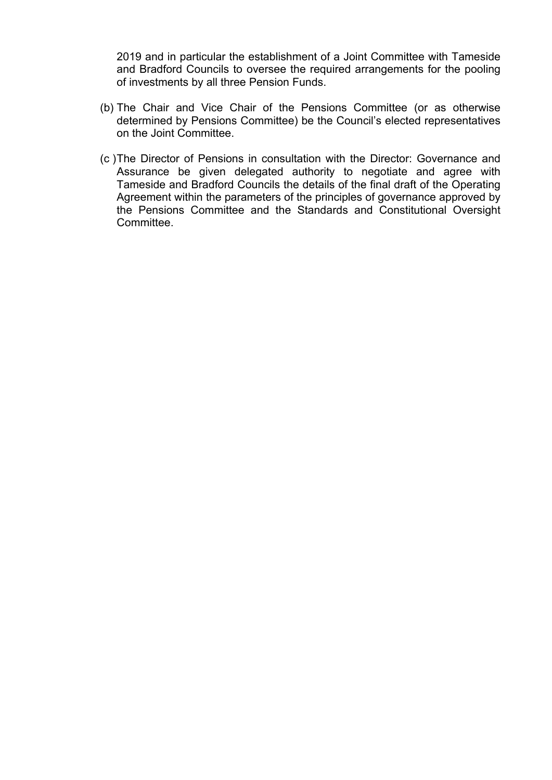2019 and in particular the establishment of a Joint Committee with Tameside and Bradford Councils to oversee the required arrangements for the pooling of investments by all three Pension Funds.

- (b) The Chair and Vice Chair of the Pensions Committee (or as otherwise determined by Pensions Committee) be the Council's elected representatives on the Joint Committee.
- (c )The Director of Pensions in consultation with the Director: Governance and Assurance be given delegated authority to negotiate and agree with Tameside and Bradford Councils the details of the final draft of the Operating Agreement within the parameters of the principles of governance approved by the Pensions Committee and the Standards and Constitutional Oversight Committee.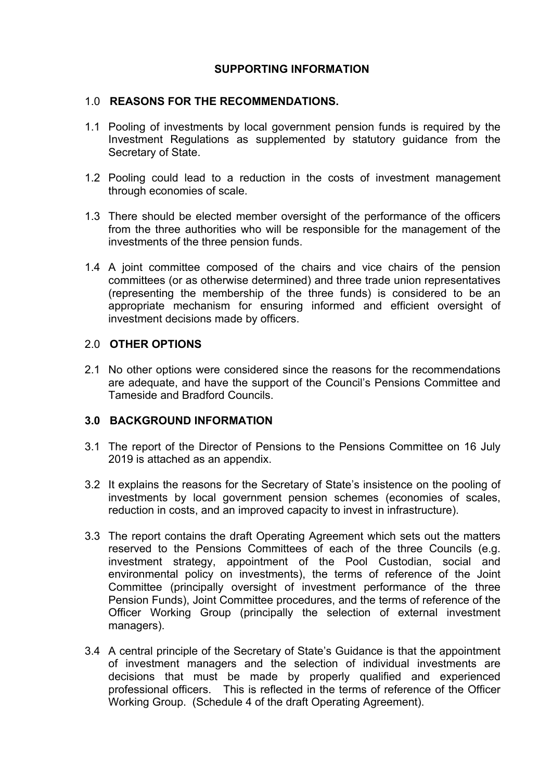# **SUPPORTING INFORMATION**

#### 1.0 **REASONS FOR THE RECOMMENDATIONS.**

- 1.1 Pooling of investments by local government pension funds is required by the Investment Regulations as supplemented by statutory guidance from the Secretary of State.
- 1.2 Pooling could lead to a reduction in the costs of investment management through economies of scale.
- 1.3 There should be elected member oversight of the performance of the officers from the three authorities who will be responsible for the management of the investments of the three pension funds.
- 1.4 A joint committee composed of the chairs and vice chairs of the pension committees (or as otherwise determined) and three trade union representatives (representing the membership of the three funds) is considered to be an appropriate mechanism for ensuring informed and efficient oversight of investment decisions made by officers.

# 2.0 **OTHER OPTIONS**

2.1 No other options were considered since the reasons for the recommendations are adequate, and have the support of the Council's Pensions Committee and Tameside and Bradford Councils.

#### **3.0 BACKGROUND INFORMATION**

- 3.1 The report of the Director of Pensions to the Pensions Committee on 16 July 2019 is attached as an appendix.
- 3.2 It explains the reasons for the Secretary of State's insistence on the pooling of investments by local government pension schemes (economies of scales, reduction in costs, and an improved capacity to invest in infrastructure).
- 3.3 The report contains the draft Operating Agreement which sets out the matters reserved to the Pensions Committees of each of the three Councils (e.g. investment strategy, appointment of the Pool Custodian, social and environmental policy on investments), the terms of reference of the Joint Committee (principally oversight of investment performance of the three Pension Funds), Joint Committee procedures, and the terms of reference of the Officer Working Group (principally the selection of external investment managers).
- 3.4 A central principle of the Secretary of State's Guidance is that the appointment of investment managers and the selection of individual investments are decisions that must be made by properly qualified and experienced professional officers. This is reflected in the terms of reference of the Officer Working Group. (Schedule 4 of the draft Operating Agreement).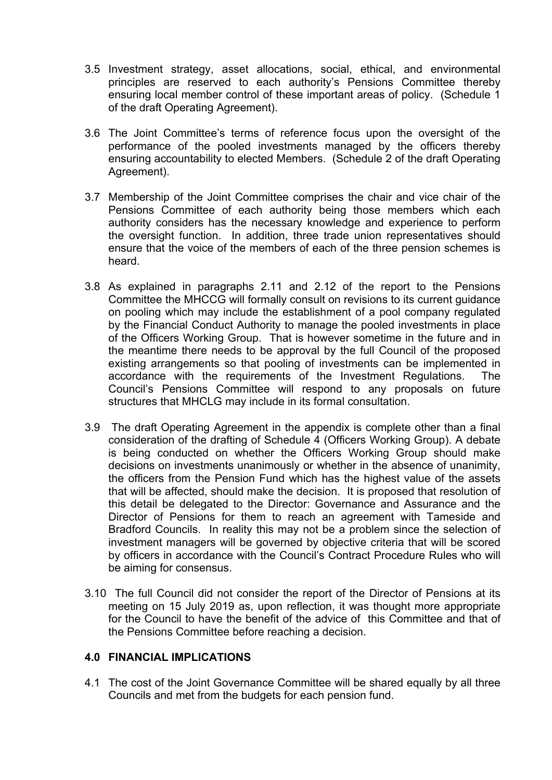- 3.5 Investment strategy, asset allocations, social, ethical, and environmental principles are reserved to each authority's Pensions Committee thereby ensuring local member control of these important areas of policy. (Schedule 1 of the draft Operating Agreement).
- 3.6 The Joint Committee's terms of reference focus upon the oversight of the performance of the pooled investments managed by the officers thereby ensuring accountability to elected Members. (Schedule 2 of the draft Operating Agreement).
- 3.7 Membership of the Joint Committee comprises the chair and vice chair of the Pensions Committee of each authority being those members which each authority considers has the necessary knowledge and experience to perform the oversight function. In addition, three trade union representatives should ensure that the voice of the members of each of the three pension schemes is heard.
- 3.8 As explained in paragraphs 2.11 and 2.12 of the report to the Pensions Committee the MHCCG will formally consult on revisions to its current guidance on pooling which may include the establishment of a pool company regulated by the Financial Conduct Authority to manage the pooled investments in place of the Officers Working Group. That is however sometime in the future and in the meantime there needs to be approval by the full Council of the proposed existing arrangements so that pooling of investments can be implemented in accordance with the requirements of the Investment Regulations. The Council's Pensions Committee will respond to any proposals on future structures that MHCLG may include in its formal consultation.
- 3.9 The draft Operating Agreement in the appendix is complete other than a final consideration of the drafting of Schedule 4 (Officers Working Group). A debate is being conducted on whether the Officers Working Group should make decisions on investments unanimously or whether in the absence of unanimity, the officers from the Pension Fund which has the highest value of the assets that will be affected, should make the decision. It is proposed that resolution of this detail be delegated to the Director: Governance and Assurance and the Director of Pensions for them to reach an agreement with Tameside and Bradford Councils. In reality this may not be a problem since the selection of investment managers will be governed by objective criteria that will be scored by officers in accordance with the Council's Contract Procedure Rules who will be aiming for consensus.
- 3.10 The full Council did not consider the report of the Director of Pensions at its meeting on 15 July 2019 as, upon reflection, it was thought more appropriate for the Council to have the benefit of the advice of this Committee and that of the Pensions Committee before reaching a decision.

#### **4.0 FINANCIAL IMPLICATIONS**

4.1 The cost of the Joint Governance Committee will be shared equally by all three Councils and met from the budgets for each pension fund.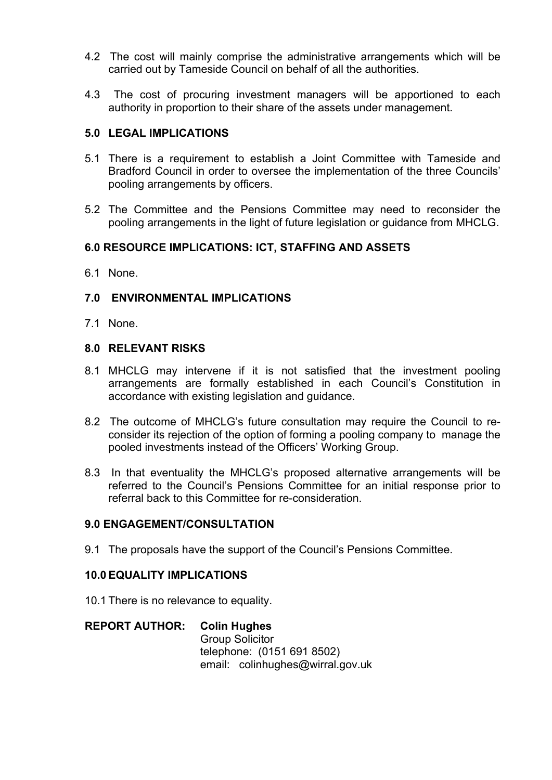- 4.2 The cost will mainly comprise the administrative arrangements which will be carried out by Tameside Council on behalf of all the authorities.
- 4.3 The cost of procuring investment managers will be apportioned to each authority in proportion to their share of the assets under management.

#### **5.0 LEGAL IMPLICATIONS**

- 5.1 There is a requirement to establish a Joint Committee with Tameside and Bradford Council in order to oversee the implementation of the three Councils' pooling arrangements by officers.
- 5.2 The Committee and the Pensions Committee may need to reconsider the pooling arrangements in the light of future legislation or guidance from MHCLG.

# **6.0 RESOURCE IMPLICATIONS: ICT, STAFFING AND ASSETS**

6.1 None.

# **7.0 ENVIRONMENTAL IMPLICATIONS**

7.1 None.

#### **8.0 RELEVANT RISKS**

- 8.1 MHCLG may intervene if it is not satisfied that the investment pooling arrangements are formally established in each Council's Constitution in accordance with existing legislation and guidance.
- 8.2 The outcome of MHCLG's future consultation may require the Council to reconsider its rejection of the option of forming a pooling company to manage the pooled investments instead of the Officers' Working Group.
- 8.3 In that eventuality the MHCLG's proposed alternative arrangements will be referred to the Council's Pensions Committee for an initial response prior to referral back to this Committee for re-consideration.

# **9.0 ENGAGEMENT/CONSULTATION**

9.1 The proposals have the support of the Council's Pensions Committee.

#### **10.0 EQUALITY IMPLICATIONS**

10.1 There is no relevance to equality.

#### **REPORT AUTHOR: Colin Hughes**

Group Solicitor telephone: (0151 691 8502) email: colinhughes@wirral.gov.uk